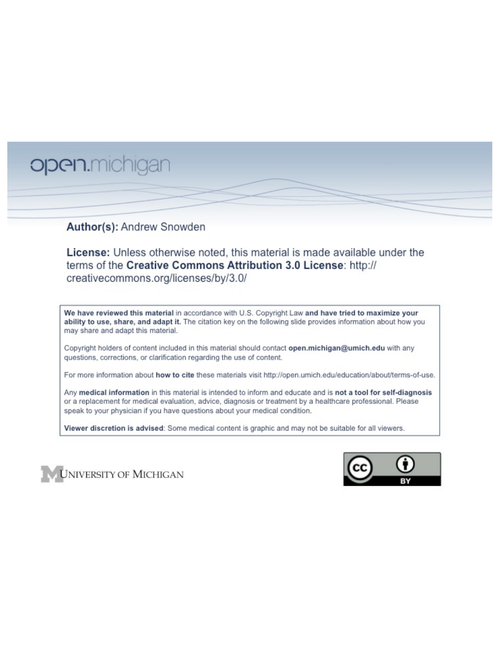# open.michigan

## Author(s): Andrew Snowden

License: Unless otherwise noted, this material is made available under the terms of the Creative Commons Attribution 3.0 License: http:// creativecommons.org/licenses/by/3.0/

We have reviewed this material in accordance with U.S. Copyright Law and have tried to maximize your ability to use, share, and adapt it. The citation key on the following slide provides information about how you may share and adapt this material.

Copyright holders of content included in this material should contact open.michigan@umich.edu with any questions, corrections, or clarification regarding the use of content.

For more information about how to cite these materials visit http://open.umich.edu/education/about/terms-of-use.

Any medical information in this material is intended to inform and educate and is not a tool for self-diagnosis or a replacement for medical evaluation, advice, diagnosis or treatment by a healthcare professional. Please speak to your physician if you have questions about your medical condition.

Viewer discretion is advised: Some medical content is graphic and may not be suitable for all viewers.



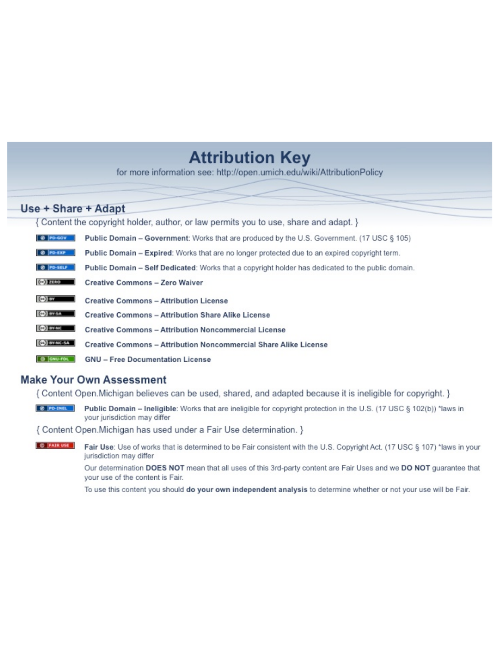## **Attribution Key**

for more information see: http://open.umich.edu/wiki/AttributionPolicy

## Use + Share + Adapt

{ Content the copyright holder, author, or law permits you to use, share and adapt. }

| @ PD-GOV                  | <b>Public Domain - Government:</b> Works that are produced by the U.S. Government. (17 USC § 105) |
|---------------------------|---------------------------------------------------------------------------------------------------|
| @ PD-EXP                  | Public Domain - Expired: Works that are no longer protected due to an expired copyright term.     |
| @ PO-SELF                 | Public Domain - Self Dedicated: Works that a copyright holder has dedicated to the public domain. |
| $(c2)$ 21110              | <b>Creative Commons - Zero Waiver</b>                                                             |
| $\left($ ce) $\right)$ my | <b>Creative Commons - Attribution License</b>                                                     |
| <b>CO</b> ITY-SA          | <b>Creative Commons - Attribution Share Alike License</b>                                         |
| <b>CO</b> BY-NC           | <b>Creative Commons - Attribution Noncommercial License</b>                                       |
| <b>CO</b> BY-NC-SA        | Creative Commons - Attribution Noncommercial Share Alike License                                  |
| GNU-FOL                   | <b>GNU - Free Documentation License</b>                                                           |

## **Make Your Own Assessment**

{ Content Open. Michigan believes can be used, shared, and adapted because it is ineligible for copyright. }

Public Domain - Ineligible: Works that are ineligible for copyright protection in the U.S. (17 USC § 102(b)) \*laws in your jurisdiction may differ

{ Content Open. Michigan has used under a Fair Use determination. }

**O** FAIR USE Fair Use: Use of works that is determined to be Fair consistent with the U.S. Copyright Act. (17 USC § 107) \*laws in your jurisdiction may differ

> Our determination DOES NOT mean that all uses of this 3rd-party content are Fair Uses and we DO NOT guarantee that your use of the content is Fair.

To use this content you should do your own independent analysis to determine whether or not your use will be Fair.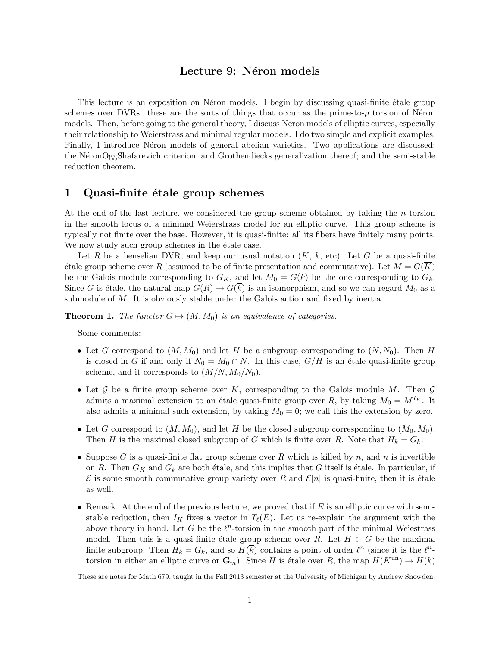### Lecture 9: Néron models

This lecture is an exposition on Néron models. I begin by discussing quasi-finite étale group schemes over DVRs: these are the sorts of things that occur as the prime-to-*p* torsion of Neron models. Then, before going to the general theory, I discuss Neron models of elliptic curves, especially their relationship to Weierstrass and minimal regular models. I do two simple and explicit examples. Finally, I introduce Néron models of general abelian varieties. Two applications are discussed: the N´eronOggShafarevich criterion, and Grothendiecks generalization thereof; and the semi-stable reduction theorem.

#### 1 Quasi-finite étale group schemes

At the end of the last lecture, we considered the group scheme obtained by taking the *n* torsion in the smooth locus of a minimal Weierstrass model for an elliptic curve. This group scheme is typically not finite over the base. However, it is quasi-finite: all its fibers have finitely many points. We now study such group schemes in the étale case.

Let *R* be a henselian DVR, and keep our usual notation  $(K, k, \text{etc})$ . Let *G* be a quasi-finite  $\acute{e}$ tale group scheme over *R* (assumed to be of finite presentation and commutative). Let  $M = G(K)$ be the Galois module corresponding to  $G_K$ , and let  $M_0 = G(\overline{k})$  be the one corresponding to  $G_k$ . Since *G* is étale, the natural map  $G(\overline{R}) \to G(\overline{k})$  is an isomorphism, and so we can regard  $M_0$  as a submodule of *M*. It is obviously stable under the Galois action and fixed by inertia.

**Theorem 1.** *The functor*  $G \mapsto (M, M_0)$  *is an equivalence of categories.* 

Some comments:

- Let *G* correspond to  $(M, M_0)$  and let *H* be a subgroup corresponding to  $(N, N_0)$ . Then *H* is closed in *G* if and only if  $N_0 = M_0 \cap N$ . In this case,  $G/H$  is an étale quasi-finite group scheme, and it corresponds to  $(M/N, M_0/N_0)$ .
- *•* Let *G* be a finite group scheme over *K*, corresponding to the Galois module *M*. Then *G* admits a maximal extension to an étale quasi-finite group over *R*, by taking  $M_0 = M^{I_K}$ . It also admits a minimal such extension, by taking  $M_0 = 0$ ; we call this the extension by zero.
- Let *G* correspond to  $(M, M_0)$ , and let *H* be the closed subgroup corresponding to  $(M_0, M_0)$ . Then *H* is the maximal closed subgroup of *G* which is finite over *R*. Note that  $H_k = G_k$ .
- *•* Suppose *G* is a quasi-finite flat group scheme over *R* which is killed by *n*, and *n* is invertible on *R*. Then  $G_K$  and  $G_k$  are both étale, and this implies that *G* itself is étale. In particular, if  $\mathcal E$  is some smooth commutative group variety over *R* and  $\mathcal E[n]$  is quasi-finite, then it is étale as well.
- Remark. At the end of the previous lecture, we proved that if *E* is an elliptic curve with semistable reduction, then  $I_K$  fixes a vector in  $T_{\ell}(E)$ . Let us re-explain the argument with the above theory in hand. Let *G* be the  $\ell^n$ -torsion in the smooth part of the minimal Weiestrass model. Then this is a quasi-finite étale group scheme over *R*. Let  $H \subset G$  be the maximal finite subgroup. Then  $H_k = G_k$ , and so  $H(\overline{k})$  contains a point of order  $\ell^n$  (since it is the  $\ell^n$ torsion in either an elliptic curve or  $\mathbf{G}_m$ ). Since *H* is étale over *R*, the map  $H(K^{\text{un}}) \to H(\overline{k})$

These are notes for Math 679, taught in the Fall 2013 semester at the University of Michigan by Andrew Snowden.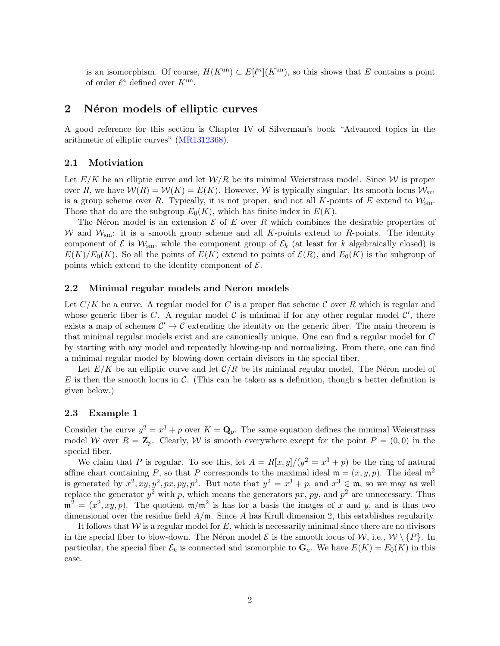is an isomorphism. Of course,  $H(K^{un}) \subset E[\ell^n](K^{un})$ , so this shows that *E* contains a point of order  $\ell^n$  defined over  $K^{\text{un}}$ .

#### 2 Néron models of elliptic curves

A good reference for this section is Chapter IV of Silverman's book "Advanced topics in the arithmetic of elliptic curves" (MR1312368).

#### 2.1 Motiviation

Let  $E/K$  be an elliptic curve and let  $W/R$  be its minimal Weierstrass model. Since W is proper over *R*, we have  $W(R) = W(K) = E(K)$ . However, *W* is typically singular. Its smooth locus  $W_{\text{sm}}$ is a group scheme over *R*. Typically, it is not proper, and not all *K*-points of *E* extend to  $W_{\text{sm}}$ . Those that do are the subgroup  $E_0(K)$ , which has finite index in  $E(K)$ .

The N<sub>e</sub>ron model is an extension  $\mathcal E$  of  $E$  over  $R$  which combines the desirable properties of *W* and  $W_{\rm sm}$ : it is a smooth group scheme and all *K*-points extend to *R*-points. The identity component of  $\mathcal{E}$  is  $\mathcal{W}_{\text{sm}}$ , while the component group of  $\mathcal{E}_k$  (at least for *k* algebraically closed) is  $E(K)/E_0(K)$ . So all the points of  $E(K)$  extend to points of  $\mathcal{E}(R)$ , and  $E_0(K)$  is the subgroup of points which extend to the identity component of  $\mathcal{E}$ .

#### 2.2 Minimal regular models and Neron models

Let  $C/K$  be a curve. A regular model for C is a proper flat scheme C over R which is regular and whose generic fiber is  $C$ . A regular model  $C$  is minimal if for any other regular model  $C'$ , there exists a map of schemes  $\mathcal{C}' \to \mathcal{C}$  extending the identity on the generic fiber. The main theorem is that minimal regular models exist and are canonically unique. One can find a regular model for *C* by starting with any model and repeatedly blowing-up and normalizing. From there, one can find a minimal regular model by blowing-down certain divisors in the special fiber.

Let  $E/K$  be an elliptic curve and let  $C/R$  be its minimal regular model. The Néron model of *E* is then the smooth locus in *C*. (This can be taken as a definition, though a better definition is given below.)

#### 2.3 Example 1

Consider the curve  $y^2 = x^3 + p$  over  $K = \mathbf{Q}_p$ . The same equation defines the minimal Weierstrass model *W* over  $R = \mathbb{Z}_p$ . Clearly, *W* is smooth everywhere except for the point  $P = (0,0)$  in the special fiber.

We claim that *P* is regular. To see this, let  $A = R[x, y]/(y^2 = x^3 + p)$  be the ring of natural affine chart containing *P*, so that *P* corresponds to the maximal ideal  $\mathfrak{m} = (x, y, p)$ . The ideal  $\mathfrak{m}^2$ is generated by  $x^2$ ,  $xy$ ,  $y^2$ ,  $px$ ,  $py$ ,  $p^2$ . But note that  $y^2 = x^3 + p$ , and  $x^3 \in \mathfrak{m}$ , so we may as well replace the generator  $y^2$  with *p*, which means the generators *px*, *py*, and  $p^2$  are unnecessary. Thus  $\mathfrak{m}^2 = (x^2, xy, p)$ . The quotient  $\mathfrak{m}/\mathfrak{m}^2$  is has for a basis the images of x and y, and is thus two dimensional over the residue field *A/*m. Since *A* has Krull dimension 2, this establishes regularity.

It follows that *W* is a regular model for *E*, which is necessarily minimal since there are no divisors in the special fiber to blow-down. The Néron model  $\mathcal E$  is the smooth locus of  $\mathcal W$ , i.e.,  $\mathcal W \setminus \{P\}$ . In particular, the special fiber  $\mathcal{E}_k$  is connected and isomorphic to  $\mathbf{G}_a$ . We have  $E(K) = E_0(K)$  in this case.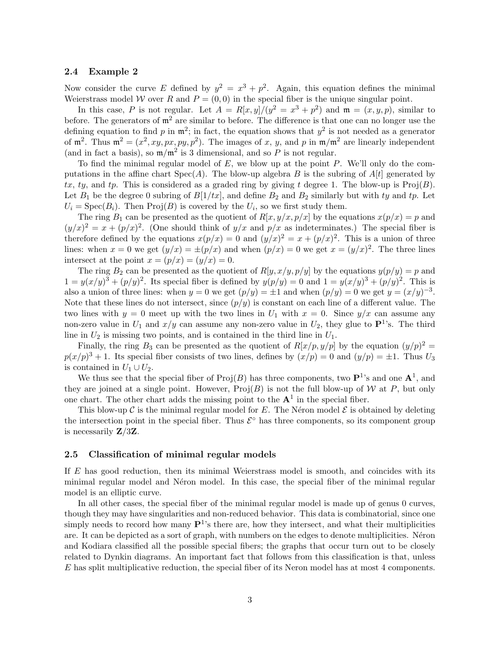#### 2.4 Example 2

Now consider the curve *E* defined by  $y^2 = x^3 + p^2$ . Again, this equation defines the minimal Weierstrass model *W* over *R* and  $P = (0,0)$  in the special fiber is the unique singular point.

In this case, *P* is not regular. Let  $A = R[x, y]/(y^2 = x^3 + p^2)$  and  $\mathfrak{m} = (x, y, p)$ , similar to before. The generators of  $m^2$  are similar to before. The difference is that one can no longer use the defining equation to find  $p$  in  $\mathfrak{m}^2$ ; in fact, the equation shows that  $y^2$  is not needed as a generator of  $m^2$ . Thus  $m^2 = (x^2, xy, px, py, p^2)$ . The images of x, y, and p in  $m/m^2$  are linearly independent (and in fact a basis), so  $m/m^2$  is 3 dimensional, and so *P* is not regular.

To find the minimal regular model of *E*, we blow up at the point *P*. We'll only do the computations in the affine chart  $Spec(A)$ . The blow-up algebra *B* is the subring of  $A[t]$  generated by  $tx, ty,$  and  $tp$ . This is considered as a graded ring by giving  $t$  degree 1. The blow-up is  $\text{Proj}(B)$ . Let  $B_1$  be the degree 0 subring of  $B[1/tx]$ , and define  $B_2$  and  $B_2$  similarly but with ty and tp. Let  $U_i = \text{Spec}(B_i)$ . Then  $\text{Proj}(B)$  is covered by the  $U_i$ , so we first study them.

The ring  $B_1$  can be presented as the quotient of  $R[x, y/x, p/x]$  by the equations  $x(p/x) = p$  and  $(y/x)^2 = x + (p/x)^2$ . (One should think of  $y/x$  and  $p/x$  as indeterminates.) The special fiber is therefore defined by the equations  $x(p/x) = 0$  and  $(y/x)^2 = x + (p/x)^2$ . This is a union of three lines: when  $x = 0$  we get  $(y/x) = \pm (p/x)$  and when  $(p/x) = 0$  we get  $x = (y/x)^2$ . The three lines intersect at the point  $x = (p/x) = (y/x) = 0$ .

The ring  $B_2$  can be presented as the quotient of  $R[y, x/y, p/y]$  by the equations  $y(p/y) = p$  and  $1 = y(x/y)^3 + (p/y)^2$ . Its special fiber is defined by  $y(p/y) = 0$  and  $1 = y(x/y)^3 + (p/y)^2$ . This is also a union of three lines: when  $y = 0$  we get  $(p/y) = \pm 1$  and when  $(p/y) = 0$  we get  $y = (x/y)^{-3}$ . Note that these lines do not intersect, since  $(p/y)$  is constant on each line of a different value. The two lines with  $y = 0$  meet up with the two lines in  $U_1$  with  $x = 0$ . Since  $y/x$  can assume any non-zero value in  $U_1$  and  $x/y$  can assume any non-zero value in  $U_2$ , they glue to  $\mathbf{P}^1$ 's. The third line in *U*<sup>2</sup> is missing two points, and is contained in the third line in *U*1.

Finally, the ring  $B_3$  can be presented as the quotient of  $R[x/p, y/p]$  by the equation  $(y/p)^2 =$  $p(x/p)^3 + 1$ . Its special fiber consists of two lines, defines by  $(x/p) = 0$  and  $(y/p) = \pm 1$ . Thus  $U_3$ is contained in  $U_1 \cup U_2$ .

We thus see that the special fiber of  $\text{Proj}(B)$  has three components, two  $\mathbf{P}^{1}$ 's and one  $\mathbf{A}^{1}$ , and they are joined at a single point. However,  $\text{Proj}(B)$  is not the full blow-up of *W* at *P*, but only one chart. The other chart adds the missing point to the  $A<sup>1</sup>$  in the special fiber.

This blow-up  $\mathcal C$  is the minimal regular model for  $E$ . The Néron model  $\mathcal E$  is obtained by deleting the intersection point in the special fiber. Thus  $\mathcal{E}^{\circ}$  has three components, so its component group is necessarily Z*/*3Z.

#### 2.5 Classification of minimal regular models

If *E* has good reduction, then its minimal Weierstrass model is smooth, and coincides with its minimal regular model and Néron model. In this case, the special fiber of the minimal regular model is an elliptic curve.

In all other cases, the special fiber of the minimal regular model is made up of genus 0 curves, though they may have singularities and non-reduced behavior. This data is combinatorial, since one simply needs to record how many  $\mathbf{P}^{1}$ 's there are, how they intersect, and what their multiplicities are. It can be depicted as a sort of graph, with numbers on the edges to denote multiplicities. Néron and Kodiara classified all the possible special fibers; the graphs that occur turn out to be closely related to Dynkin diagrams. An important fact that follows from this classification is that, unless *E* has split multiplicative reduction, the special fiber of its Neron model has at most 4 components.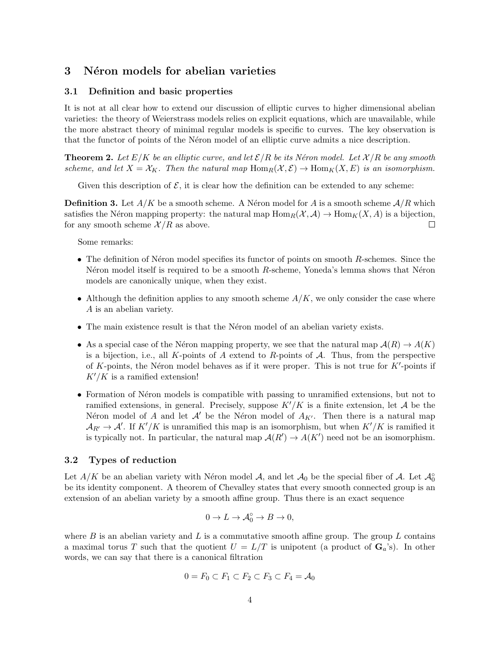## 3 Néron models for abelian varieties

#### 3.1 Definition and basic properties

It is not at all clear how to extend our discussion of elliptic curves to higher dimensional abelian varieties: the theory of Weierstrass models relies on explicit equations, which are unavailable, while the more abstract theory of minimal regular models is specific to curves. The key observation is that the functor of points of the Neron model of an elliptic curve admits a nice description.

**Theorem 2.** Let  $E/K$  be an elliptic curve, and let  $\mathcal{E}/R$  be its Néron model. Let  $\mathcal{X}/R$  be any smooth *scheme, and let*  $X = X_K$ *. Then the natural map*  $\text{Hom}_R(\mathcal{X}, \mathcal{E}) \to \text{Hom}_K(X, E)$  *is an isomorphism.* 

Given this description of  $\mathcal{E}$ , it is clear how the definition can be extended to any scheme:

**Definition 3.** Let  $A/K$  be a smooth scheme. A Néron model for A is a smooth scheme  $A/R$  which satisfies the Néron mapping property: the natural map  $\text{Hom}_R(\mathcal{X}, \mathcal{A}) \to \text{Hom}_K(X, \mathcal{A})$  is a bijection, for any smooth scheme  $\mathcal{X}/R$  as above. for any smooth scheme  $\mathcal{X}/R$  as above.

Some remarks:

- The definition of Néron model specifies its functor of points on smooth *R*-schemes. Since the N<sup>eron</sup> model itself is required to be a smooth *R*-scheme, Yoneda's lemma shows that Neron models are canonically unique, when they exist.
- Although the definition applies to any smooth scheme  $A/K$ , we only consider the case where *A* is an abelian variety.
- The main existence result is that the Neron model of an abelian variety exists.
- As a special case of the Néron mapping property, we see that the natural map  $\mathcal{A}(R) \to \mathcal{A}(K)$ is a bijection, i.e., all *K*-points of *A* extend to *R*-points of *A*. Thus, from the perspective of  $K$ -points, the Néron model behaves as if it were proper. This is not true for  $K'$ -points if  $K'/K$  is a ramified extension!
- Formation of Néron models is compatible with passing to unramified extensions, but not to ramified extensions, in general. Precisely, suppose  $K'/K$  is a finite extension, let  $\mathcal A$  be the N'eron model of *A* and let  $\mathcal{A}'$  be the N'eron model of  $A_{K'}$ . Then there is a natural map  $A_{R'} \to A'$ . If *K'/K* is unramified this map is an isomorphism, but when *K'/K* is ramified it is typically not. In particular, the natural map  $\mathcal{A}(R') \to \mathcal{A}(K')$  need not be an isomorphism.

#### 3.2 Types of reduction

Let  $A/K$  be an abelian variety with Néron model *A*, and let  $A_0$  be the special fiber of *A*. Let  $A_0^{\circ}$ be its identity component. A theorem of Chevalley states that every smooth connected group is an extension of an abelian variety by a smooth affine group. Thus there is an exact sequence

$$
0 \to L \to \mathcal{A}_0^{\circ} \to B \to 0,
$$

where  $B$  is an abelian variety and  $L$  is a commutative smooth affine group. The group  $L$  contains a maximal torus *T* such that the quotient  $U = L/T$  is unipotent (a product of  $G_a$ 's). In other words, we can say that there is a canonical filtration

$$
0 = F_0 \subset F_1 \subset F_2 \subset F_3 \subset F_4 = \mathcal{A}_0
$$